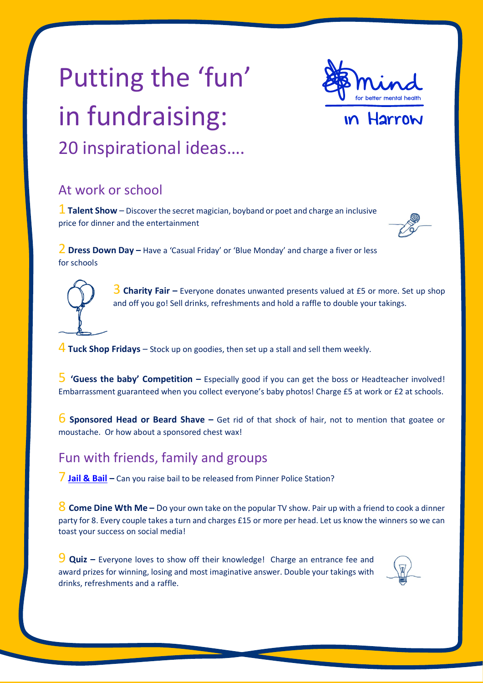# Putting the 'fun' in fundraising: 20 inspirational ideas….



## Harrow

### At work or school

1 **Talent Show** – Discover the secret magician, boyband or poet and charge an inclusive price for dinner and the entertainment



2 **Dress Down Day –** Have a 'Casual Friday' or 'Blue Monday' and charge a fiver or less for schools

> 3 **Charity Fair –** Everyone donates unwanted presents valued at £5 or more. Set up shop and off you go! Sell drinks, refreshments and hold a raffle to double your takings.

4 **Tuck Shop Fridays** – Stock up on goodies, then set up a stall and sell them weekly.

5 **'Guess the baby' Competition –** Especially good if you can get the boss or Headteacher involved! Embarrassment guaranteed when you collect everyone's baby photos! Charge £5 at work or £2 at schools.

6 **Sponsored Head or Beard Shave –** Get rid of that shock of hair, not to mention that goatee or moustache. Or how about a sponsored chest wax!

### Fun with friends, family and groups

7 **Jail [& Bail](https://www.mindinharrow.org.uk/get-involved/fundraise/jail-bail/) –** Can you raise bail to be released from Pinner Police Station?

8 **Come Dine Wth Me –** Do your own take on the popular TV show. Pair up with a friend to cook a dinner party for 8. Every couple takes a turn and charges £15 or more per head. Let us know the winners so we can toast your success on social media!

9 **Quiz –** Everyone loves to show off their knowledge! Charge an entrance fee and award prizes for winning, losing and most imaginative answer. Double your takings with drinks, refreshments and a raffle.